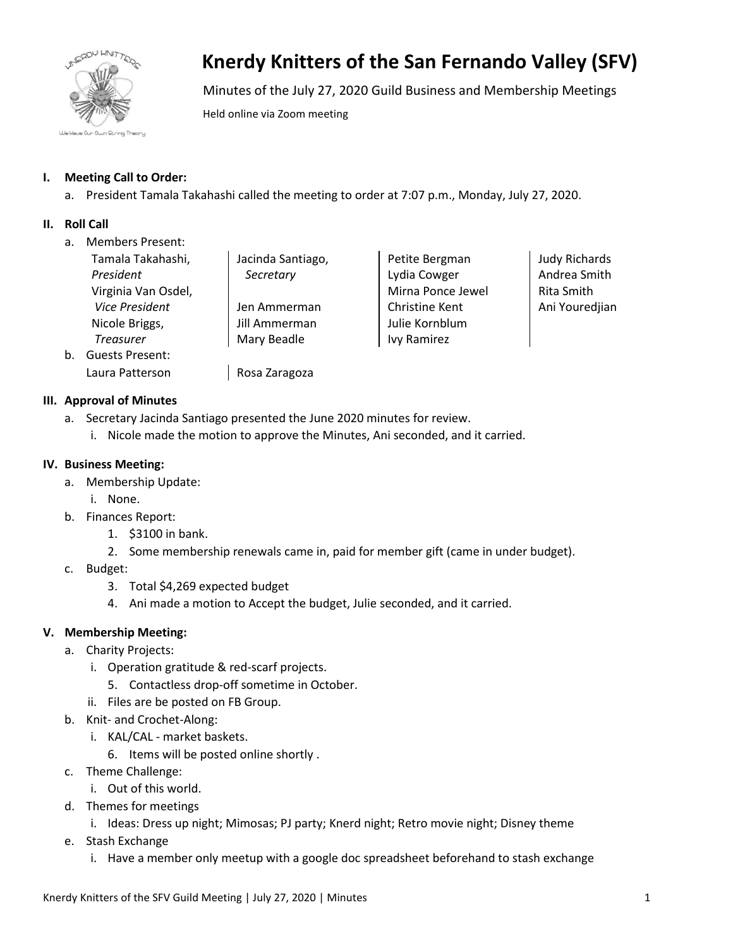

# **Knerdy Knitters of the San Fernando Valley (SFV)**

Minutes of the July 27, 2020 Guild Business and Membership Meetings

Held online via Zoom meeting

# **I. Meeting Call to Order:**

a. President Tamala Takahashi called the meeting to order at 7:07 p.m., Monday, July 27, 2020.

## **II. Roll Call**

a. Members Present:

|    | Tamala Takahashi,      | Jacinda Santiago, | Pe |
|----|------------------------|-------------------|----|
|    | President              | Secretary         | L٧ |
|    | Virginia Van Osdel,    |                   | M  |
|    | <b>Vice President</b>  | Jen Ammerman      | Cł |
|    | Nicole Briggs,         | Jill Ammerman     | Ju |
|    | <b>Treasurer</b>       | Mary Beadle       | lv |
| b. | <b>Guests Present:</b> |                   |    |
|    | Laura Patterson        | Rosa Zaragoza     |    |

# **III. Approval of Minutes**

- a. Secretary Jacinda Santiago presented the June 2020 minutes for review.
	- i. Nicole made the motion to approve the Minutes, Ani seconded, and it carried.

## **IV. Business Meeting:**

- a. Membership Update:
	- i. None.
- b. Finances Report:
	- 1. \$3100 in bank.
	- 2. Some membership renewals came in, paid for member gift (came in under budget).
- c. Budget:
	- 3. Total \$4,269 expected budget
	- 4. Ani made a motion to Accept the budget, Julie seconded, and it carried.

## **V. Membership Meeting:**

- a. Charity Projects:
	- i. Operation gratitude & red-scarf projects.
		- 5. Contactless drop-off sometime in October.
	- ii. Files are be posted on FB Group.
- b. Knit- and Crochet-Along:
	- i. KAL/CAL market baskets.
		- 6. Items will be posted online shortly .
- c. Theme Challenge:
	- i. Out of this world.
- d. Themes for meetings
	- i. Ideas: Dress up night; Mimosas; PJ party; Knerd night; Retro movie night; Disney theme
- e. Stash Exchange
	- i. Have a member only meetup with a google doc spreadsheet beforehand to stash exchange

etite Bergman dia Cowger lirna Ponce Jewel hristine Kent ılie Kornblum y Ramirez

Judy Richards Andrea Smith Rita Smith Ani Youredjian